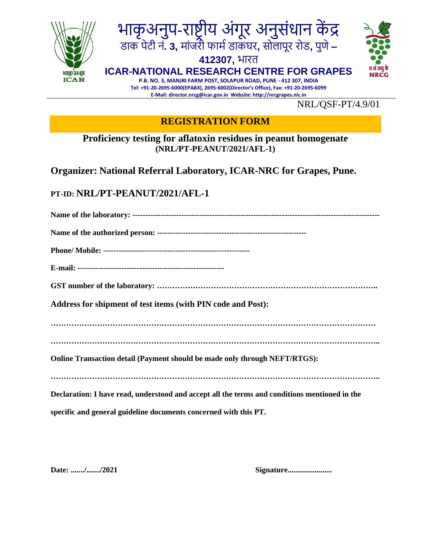



NRL/QSF-PT/4.9/01

## **REGISTRATION FORM**

## **Proficiency testing for aflatoxin residues in peanut homogenate (NRL/PT-PEANUT/2021/AFL-1)**

## **Organizer: National Referral Laboratory, ICAR-NRC for Grapes, Pune.**

## **PT-ID: NRL/PT-PEANUT/2021/AFL-1**

| Address for shipment of test items (with PIN code and Post):                                  |
|-----------------------------------------------------------------------------------------------|
|                                                                                               |
|                                                                                               |
| Online Transaction detail (Payment should be made only through NEFT/RTGS):                    |
|                                                                                               |
| Declaration: I have read, understood and accept all the terms and conditions mentioned in the |
| specific and general guideline documents concerned with this PT.                              |

**Date: ......./......./2021 Signature.........................**